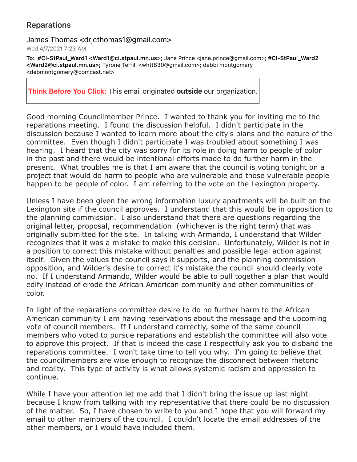## Reparations

## James Thomas <drjcthomas1@gmail.com>

Wed 4/7/2021 7:23 AM

To: #CI-StPaul\_Ward1 <Ward1@ci.stpaul.mn.us>; Jane Prince <jane.prince@gmail.com>; #CI-StPaul\_Ward2 <Ward2@ci.stpaul.mn.us>; Tyrone Terrill <whtt830@gmail.com>; debbi montgomery <debmontgomery@comcast.net>

**Think Before You Click:** This email originated **outside** our organization.

Good morning Councilmember Prince. I wanted to thank you for inviting me to the reparations meeting. I found the discussion helpful. I didn't participate in the discussion because I wanted to learn more about the city's plans and the nature of the committee. Even though I didn't participate I was troubled about something I was hearing. I heard that the city was sorry for its role in doing harm to people of color in the past and there would be intentional efforts made to do further harm in the present. What troubles me is that I am aware that the council is voting tonight on a project that would do harm to people who are vulnerable and those vulnerable people happen to be people of color. I am referring to the vote on the Lexington property.

Unless I have been given the wrong information luxury apartments will be built on the Lexington site if the council approves. I understand that this would be in opposition to the planning commission. I also understand that there are questions regarding the original letter, proposal, recommendation (whichever is the right term) that was originally submitted for the site. In talking with Armando, I understand that Wilder recognizes that it was a mistake to make this decision. Unfortunately, Wilder is not in a position to correct this mistake without penalties and possible legal action against itself. Given the values the council says it supports, and the planning commission opposition, and Wilder's desire to correct it's mistake the council should clearly vote no. If I understand Armando, Wilder would be able to pull together a plan that would edify instead of erode the African American community and other communities of color.

In light of the reparations committee desire to do no further harm to the African American community I am having reservations about the message and the upcoming vote of council members. If I understand correctly, some of the same council members who voted to pursue reparations and establish the committee will also vote to approve this project. If that is indeed the case I respectfully ask you to disband the reparations committee. I won't take time to tell you why. I'm going to believe that the councilmembers are wise enough to recognize the disconnect between rhetoric and reality. This type of activity is what allows systemic racism and oppression to continue.

While I have your attention let me add that I didn't bring the issue up last night because I know from talking with my representative that there could be no discussion of the matter. So, I have chosen to write to you and I hope that you will forward my email to other members of the council. I couldn't locate the email addresses of the other members, or I would have included them.